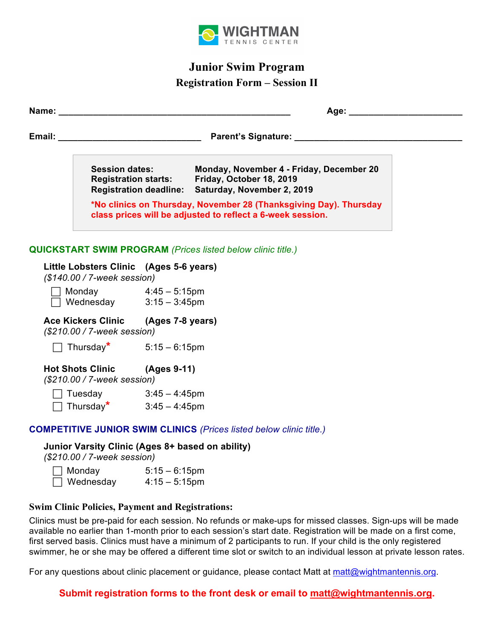

# **Junior Swim Program**

## **Registration Form – Session II**

|                                                                                 |                                                                                                                                 |  | Session dates: Monday, November 4 - Friday, December 20<br>Registration starts: Friday, October 18, 2019<br>Registration deadline: Saturday, November 2, 2019 |  |  |
|---------------------------------------------------------------------------------|---------------------------------------------------------------------------------------------------------------------------------|--|---------------------------------------------------------------------------------------------------------------------------------------------------------------|--|--|
|                                                                                 | *No clinics on Thursday, November 28 (Thanksgiving Day). Thursday<br>class prices will be adjusted to reflect a 6-week session. |  |                                                                                                                                                               |  |  |
| <b>QUICKSTART SWIM PROGRAM (Prices listed below clinic title.)</b>              |                                                                                                                                 |  |                                                                                                                                                               |  |  |
| Little Lobsters Clinic (Ages 5-6 years)<br>(\$140.00 / 7-week session)          |                                                                                                                                 |  |                                                                                                                                                               |  |  |
|                                                                                 |                                                                                                                                 |  |                                                                                                                                                               |  |  |
| Ace Kickers Clinic (Ages 7-8 years)<br>(\$210.00 / 7-week session)              |                                                                                                                                 |  |                                                                                                                                                               |  |  |
| Thursday <sup>*</sup> $5:15-6:15$ pm                                            |                                                                                                                                 |  |                                                                                                                                                               |  |  |
| Hot Shots Clinic (Ages 9-11)<br>(\$210.00 / 7-week session)                     |                                                                                                                                 |  |                                                                                                                                                               |  |  |
|                                                                                 | Tuesday $3:45 - 4:45$ pm<br>Thursday <sup>*</sup> $3:45 - 4:45$ pm                                                              |  |                                                                                                                                                               |  |  |
| <b>COMPETITIVE JUNIOR SWIM CLINICS (Prices listed below clinic title.)</b>      |                                                                                                                                 |  |                                                                                                                                                               |  |  |
| Junior Varsity Clinic (Ages 8+ based on ability)<br>(\$210.00 / 7-week session) |                                                                                                                                 |  |                                                                                                                                                               |  |  |

| $\Box$ Monday    | $5:15 - 6:15$ pm |
|------------------|------------------|
| $\Box$ Wednesday | $4:15 - 5:15$ pm |

### **Swim Clinic Policies, Payment and Registrations:**

Clinics must be pre-paid for each session. No refunds or make-ups for missed classes. Sign-ups will be made available no earlier than 1-month prior to each session's start date. Registration will be made on a first come, first served basis. Clinics must have a minimum of 2 participants to run. If your child is the only registered swimmer, he or she may be offered a different time slot or switch to an individual lesson at private lesson rates.

For any questions about clinic placement or guidance, please contact Matt at matt@wightmantennis.org.

**Submit registration forms to the front desk or email to matt@wightmantennis.org.**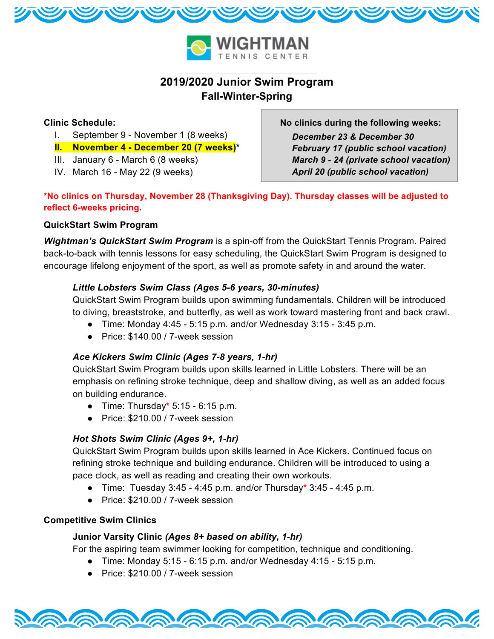

## **2019/2020 Junior Swim Program Fall-Winter-Spring**

### **Clinic Schedule:**

- I. September 9 November 1 (8 weeks)
- **II. November 4 December 20 (7 weeks)\***
- III. January 6 March 6 (8 weeks)
- IV. March 16 May 22 (9 weeks)

**No clinics during the following weeks:**  *December 23 & December 30 February 17 (public school vacation) March 9 - 24 (private school vacation) April 20 (public school vacation)*

**\*No clinics on Thursday, November 28 (Thanksgiving Day). Thursday classes will be adjusted to reflect 6-weeks pricing.**

## **QuickStart Swim Program**

*Wightman's QuickStart Swim Program* is a spin-off from the QuickStart Tennis Program. Paired back-to-back with tennis lessons for easy scheduling, the QuickStart Swim Program is designed to encourage lifelong enjoyment of the sport, as well as promote safety in and around the water.

## *Little Lobsters Swim Class (Ages 5-6 years, 30-minutes)*

QuickStart Swim Program builds upon swimming fundamentals. Children will be introduced to diving, breaststroke, and butterfly, as well as work toward mastering front and back crawl.

- $\bullet$  Time: Monday 4:45 5:15 p.m. and/or Wednesday 3:15 3:45 p.m.
- Price: \$140.00 / 7-week session

## *Ace Kickers Swim Clinic (Ages 7-8 years, 1-hr)*

QuickStart Swim Program builds upon skills learned in Little Lobsters. There will be an emphasis on refining stroke technique, deep and shallow diving, as well as an added focus on building endurance.

- Time: Thursday**\*** 5:15 6:15 p.m.
- Price: \$210.00 / 7-week session

## *Hot Shots Swim Clinic (Ages 9+, 1-hr)*

QuickStart Swim Program builds upon skills learned in Ace Kickers. Continued focus on refining stroke technique and building endurance. Children will be introduced to using a pace clock, as well as reading and creating their own workouts.

- Time: Tuesday 3:45 4:45 p.m. and/or Thursday**\*** 3:45 4:45 p.m.
- Price: \$210.00 / 7-week session

### **Competitive Swim Clinics**

### **Junior Varsity Clinic** *(Ages 8+ based on ability, 1-hr)*

For the aspiring team swimmer looking for competition, technique and conditioning.

- Time: Monday 5:15 6:15 p.m. and/or Wednesday 4:15 5:15 p.m.
- Price: \$210.00 / 7-week session